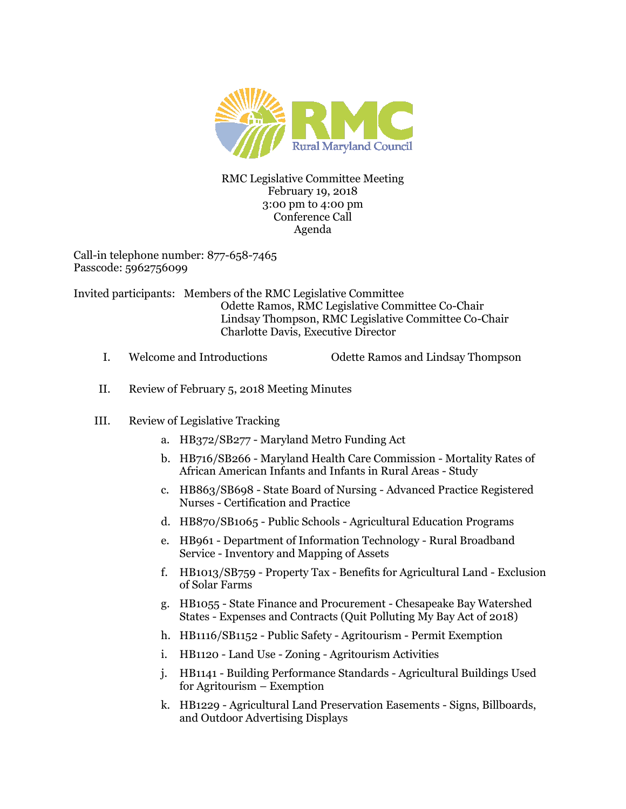

## RMC Legislative Committee Meeting February 19, 2018 3:00 pm to 4:00 pm Conference Call Agenda

Call-in telephone number: 877-658-7465 Passcode: 5962756099

Invited participants: Members of the RMC Legislative Committee Odette Ramos, RMC Legislative Committee Co-Chair Lindsay Thompson, RMC Legislative Committee Co-Chair Charlotte Davis, Executive Director

- I. Welcome and Introductions Odette Ramos and Lindsay Thompson
- II. Review of February 5, 2018 Meeting Minutes
- III. Review of Legislative Tracking
	- a. HB372/SB277 Maryland Metro Funding Act
	- b. HB716/SB266 Maryland Health Care Commission Mortality Rates of African American Infants and Infants in Rural Areas - Study
	- c. HB863/SB698 State Board of Nursing Advanced Practice Registered Nurses - Certification and Practice
	- d. HB870/SB1065 Public Schools Agricultural Education Programs
	- e. HB961 Department of Information Technology Rural Broadband Service - Inventory and Mapping of Assets
	- f. HB1013/SB759 Property Tax Benefits for Agricultural Land Exclusion of Solar Farms
	- g. HB1055 State Finance and Procurement Chesapeake Bay Watershed States - Expenses and Contracts (Quit Polluting My Bay Act of 2018)
	- h. HB1116/SB1152 Public Safety Agritourism Permit Exemption
	- i. HB1120 Land Use Zoning Agritourism Activities
	- j. HB1141 Building Performance Standards Agricultural Buildings Used for Agritourism – Exemption
	- k. HB1229 Agricultural Land Preservation Easements Signs, Billboards, and Outdoor Advertising Displays